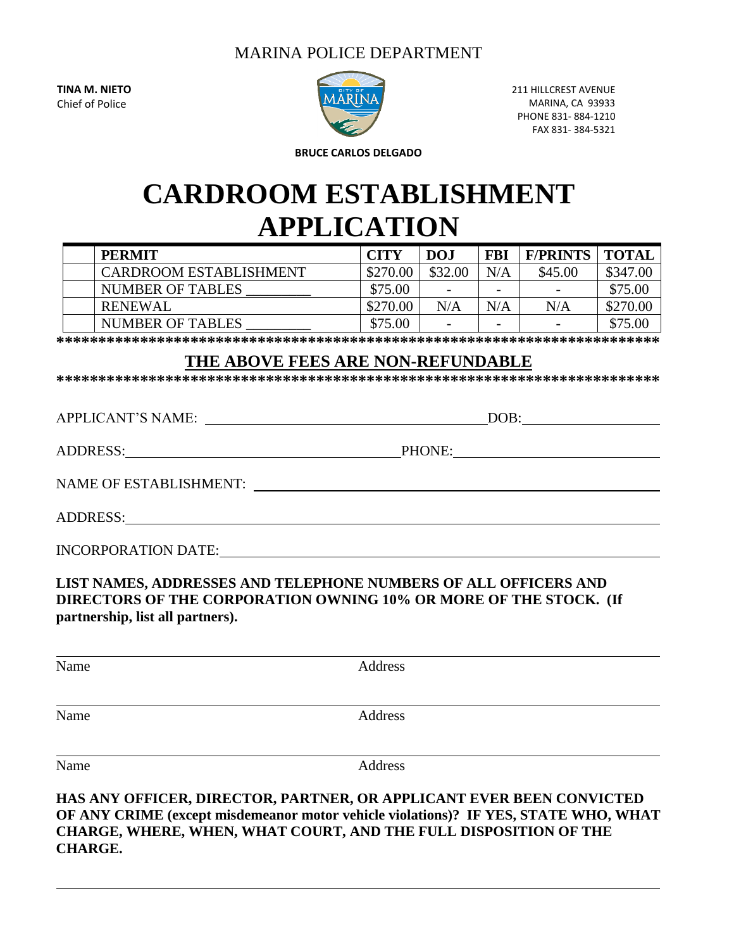# MARINA POLICE DEPARTMENT

**TINA M. NIETO** Chief of Police



211 HILLCREST AVENUE MARINA, CA 93933 PHONE 831- 884-1210 FAX 831- 384-5321

**BRUCE CARLOS DELGADO**

# **CARDROOM ESTABLISHMENT APPLICATION**

| <b>PERMIT</b>           | <b>CITY</b> | <b>DOJ</b>               | <b>FBI</b>               | <b>F/PRINTS</b> | TOTAI    |
|-------------------------|-------------|--------------------------|--------------------------|-----------------|----------|
| CARDROOM ESTABLISHMENT  | \$270.00    | \$32.00                  | $\rm N/A$                | \$45.00         | \$347.00 |
| <b>NUMBER OF TABLES</b> | \$75.00     | $\overline{\phantom{0}}$ | $\overline{\phantom{a}}$ |                 | \$75.00  |
| <b>RENEWAL</b>          | \$270.00    | N/A                      | N/A                      | N/A             | \$270.00 |
| NUMBER OF TABLES        | \$75.00     | $\overline{\phantom{0}}$ | $\overline{\phantom{a}}$ |                 | \$75.00  |

**\*\*\*\*\*\*\*\*\*\*\*\*\*\*\*\*\*\*\*\*\*\*\*\*\*\*\*\*\*\*\*\*\*\*\*\*\*\*\*\*\*\*\*\*\*\*\*\*\*\*\*\*\*\*\*\*\*\*\*\*\*\*\*\*\*\*\*\*\*\*\*\***

## **THE ABOVE FEES ARE NON-REFUNDABLE**

**\*\*\*\*\*\*\*\*\*\*\*\*\*\*\*\*\*\*\*\*\*\*\*\*\*\*\*\*\*\*\*\*\*\*\*\*\*\*\*\*\*\*\*\*\*\*\*\*\*\*\*\*\*\*\*\*\*\*\*\*\*\*\*\*\*\*\*\*\*\*\*\***

APPLICANT'S NAME: DOB:

ADDRESS: PHONE:

NAME OF ESTABLISHMENT:

ADDRESS:

INCORPORATION DATE:

### **LIST NAMES, ADDRESSES AND TELEPHONE NUMBERS OF ALL OFFICERS AND DIRECTORS OF THE CORPORATION OWNING 10% OR MORE OF THE STOCK. (If partnership, list all partners).**

| Name | Address |
|------|---------|
|      |         |
| Name | Address |
|      |         |
| Name | Address |

**HAS ANY OFFICER, DIRECTOR, PARTNER, OR APPLICANT EVER BEEN CONVICTED OF ANY CRIME (except misdemeanor motor vehicle violations)? IF YES, STATE WHO, WHAT CHARGE, WHERE, WHEN, WHAT COURT, AND THE FULL DISPOSITION OF THE CHARGE.**